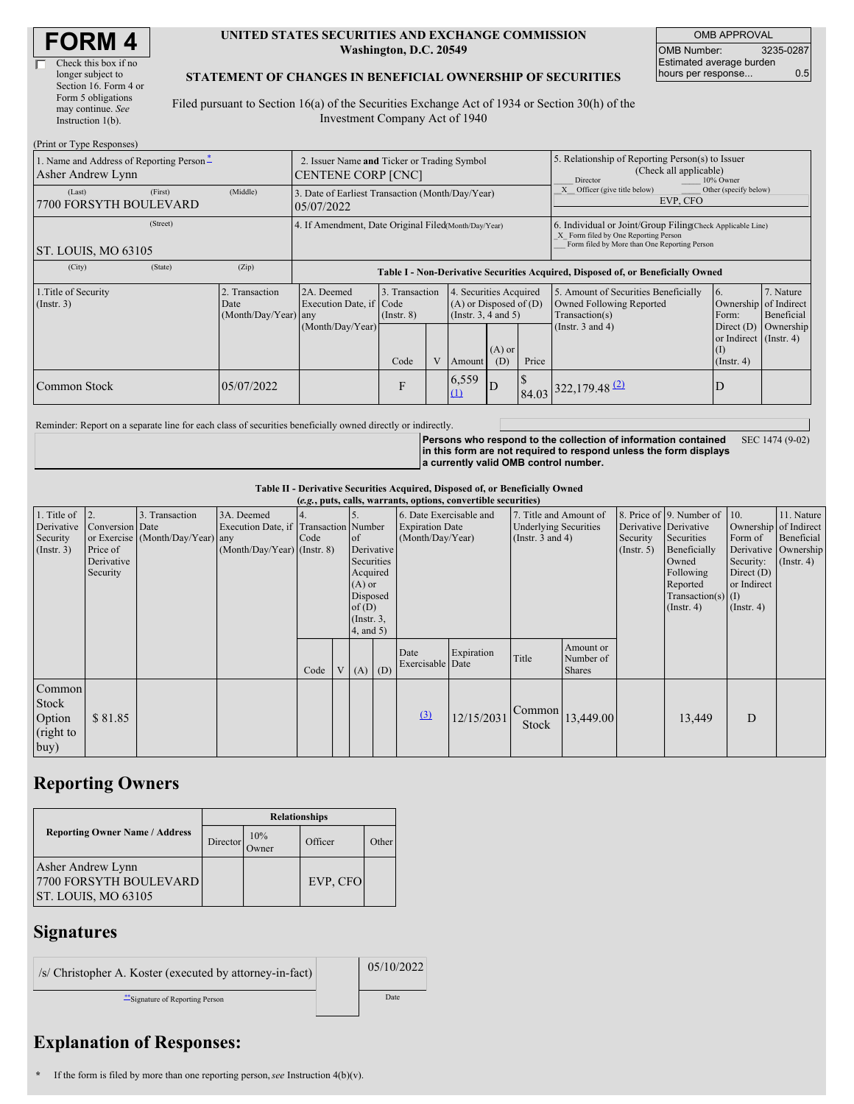| <b>FORM4</b> |  |
|--------------|--|
|--------------|--|

| Check this box if no  |
|-----------------------|
| longer subject to     |
| Section 16. Form 4 or |
| Form 5 obligations    |
| may continue. See     |
| Instruction 1(b).     |
|                       |

(Print or Type Responses)

#### **UNITED STATES SECURITIES AND EXCHANGE COMMISSION Washington, D.C. 20549**

OMB APPROVAL OMB Number: 3235-0287 Estimated average burden hours per response... 0.5

#### **STATEMENT OF CHANGES IN BENEFICIAL OWNERSHIP OF SECURITIES**

Filed pursuant to Section 16(a) of the Securities Exchange Act of 1934 or Section 30(h) of the Investment Company Act of 1940

| $(1 \text{ min of 1 ypc 1} \cup \text{protons})$<br>1. Name and Address of Reporting Person-<br>Asher Andrew Lynn | 2. Issuer Name and Ticker or Trading Symbol<br><b>CENTENE CORP [CNC]</b> |                                                                                  |                                       |  |                                                                                                                    | 5. Relationship of Reporting Person(s) to Issuer<br>(Check all applicable)<br>10% Owner<br>Director |                                                                 |                                                                                                                                                    |                                                                                                           |                                      |  |
|-------------------------------------------------------------------------------------------------------------------|--------------------------------------------------------------------------|----------------------------------------------------------------------------------|---------------------------------------|--|--------------------------------------------------------------------------------------------------------------------|-----------------------------------------------------------------------------------------------------|-----------------------------------------------------------------|----------------------------------------------------------------------------------------------------------------------------------------------------|-----------------------------------------------------------------------------------------------------------|--------------------------------------|--|
| (Last)<br>(First)<br>7700 FORSYTH BOULEVARD                                                                       | (Middle)                                                                 | 3. Date of Earliest Transaction (Month/Day/Year)<br>05/07/2022                   |                                       |  |                                                                                                                    |                                                                                                     | Officer (give title below)<br>Other (specify below)<br>EVP, CFO |                                                                                                                                                    |                                                                                                           |                                      |  |
| (Street)<br>ST. LOUIS, MO 63105                                                                                   |                                                                          | 4. If Amendment, Date Original Filed(Month/Day/Year)                             |                                       |  |                                                                                                                    |                                                                                                     |                                                                 | 6. Individual or Joint/Group Filing Check Applicable Line)<br>X Form filed by One Reporting Person<br>Form filed by More than One Reporting Person |                                                                                                           |                                      |  |
| (City)<br>(State)                                                                                                 | (Zip)                                                                    | Table I - Non-Derivative Securities Acquired, Disposed of, or Beneficially Owned |                                       |  |                                                                                                                    |                                                                                                     |                                                                 |                                                                                                                                                    |                                                                                                           |                                      |  |
| 1. Title of Security<br>2. Transaction<br>$($ Instr. 3 $)$<br>Date<br>(Month/Day/Year) any                        |                                                                          | 2A. Deemed<br>Execution Date, if Code<br>(Month/Day/Year)                        | 3. Transaction<br>(Insert. 8)<br>Code |  | 4. Securities Acquired<br>$(A)$ or Disposed of $(D)$<br>(Insert. 3, 4 and 5)<br>$(A)$ or<br>Price<br>(D)<br>Amount |                                                                                                     |                                                                 | 5. Amount of Securities Beneficially<br>Owned Following Reported<br>Transaction(s)<br>(Instr. $3$ and $4$ )                                        | 6.<br>Ownership of Indirect<br>Form:<br>Direct $(D)$<br>or Indirect (Instr. 4)<br>(1)<br>$($ Instr. 4 $)$ | 7. Nature<br>Beneficial<br>Ownership |  |
| Common Stock                                                                                                      | 05/07/2022                                                               |                                                                                  | F                                     |  | 6,559<br>(1)                                                                                                       | $\mathbf{D}$                                                                                        |                                                                 | 84.03 322,179.48 (2)                                                                                                                               | D                                                                                                         |                                      |  |

Reminder: Report on a separate line for each class of securities beneficially owned directly or indirectly.

**Persons who respond to the collection of information contained in this form are not required to respond unless the form displays a currently valid OMB control number.** SEC 1474 (9-02)

**Table II - Derivative Securities Acquired, Disposed of, or Beneficially Owned**

| (e.g., puts, calls, warrants, options, convertible securities) |                                                             |                                                    |                                                                                      |      |  |                                                                                                            |  |                                                                       |            |                                                                                 |                                         |                                                       |                                                                                                                                 |                                                                                                         |                                                                      |
|----------------------------------------------------------------|-------------------------------------------------------------|----------------------------------------------------|--------------------------------------------------------------------------------------|------|--|------------------------------------------------------------------------------------------------------------|--|-----------------------------------------------------------------------|------------|---------------------------------------------------------------------------------|-----------------------------------------|-------------------------------------------------------|---------------------------------------------------------------------------------------------------------------------------------|---------------------------------------------------------------------------------------------------------|----------------------------------------------------------------------|
| 1. Title of<br>Derivative<br>Security<br>$($ Instr. 3 $)$      | 2.<br>Conversion Date<br>Price of<br>Derivative<br>Security | 3. Transaction<br>or Exercise (Month/Day/Year) any | 3A. Deemed<br>Execution Date, if Transaction Number<br>$(Month/Day/Year)$ (Instr. 8) | Code |  | lof<br>Derivative<br>Securities<br>Acquired<br>$(A)$ or<br>Disposed<br>of(D)<br>$($ Instr. 3,<br>4, and 5) |  | 6. Date Exercisable and<br><b>Expiration Date</b><br>(Month/Day/Year) |            | 7. Title and Amount of<br><b>Underlying Securities</b><br>(Instr. $3$ and $4$ ) |                                         | Derivative Derivative<br>Security<br>$($ Instr. 5 $)$ | 8. Price of 9. Number of<br>Securities<br>Beneficially<br>Owned<br>Following<br>Reported<br>$Transaction(s)$ (I)<br>(Insert. 4) | 10.<br>Ownership of Indirect<br>Form of<br>Security:<br>Direct $(D)$<br>or Indirect<br>$($ Instr. 4 $)$ | 11. Nature<br>Beneficial<br>Derivative Ownership<br>$($ Instr. 4 $)$ |
|                                                                |                                                             |                                                    |                                                                                      | Code |  | $V(A)$ (D)                                                                                                 |  | Date<br>Exercisable Date                                              | Expiration | Title                                                                           | Amount or<br>Number of<br><b>Shares</b> |                                                       |                                                                                                                                 |                                                                                                         |                                                                      |
| Common<br>Stock<br>Option<br>(right to<br>buy)                 | \$81.85                                                     |                                                    |                                                                                      |      |  |                                                                                                            |  | (3)                                                                   | 12/15/2031 | Common<br><b>Stock</b>                                                          | 13,449.00                               |                                                       | 13,449                                                                                                                          | D                                                                                                       |                                                                      |

## **Reporting Owners**

|                                                                           | <b>Relationships</b> |              |          |       |  |  |  |  |
|---------------------------------------------------------------------------|----------------------|--------------|----------|-------|--|--|--|--|
| <b>Reporting Owner Name / Address</b>                                     | Director             | 10%<br>Dwner | Officer  | Other |  |  |  |  |
| Asher Andrew Lynn<br><b>7700 FORSYTH BOULEVARD</b><br>ST. LOUIS, MO 63105 |                      |              | EVP, CFO |       |  |  |  |  |

### **Signatures**

| /s/ Christopher A. Koster (executed by attorney-in-fact) | 05/10/2022 |
|----------------------------------------------------------|------------|
| Signature of Reporting Person                            | Date       |

# **Explanation of Responses:**

**<sup>\*</sup>** If the form is filed by more than one reporting person,*see* Instruction 4(b)(v).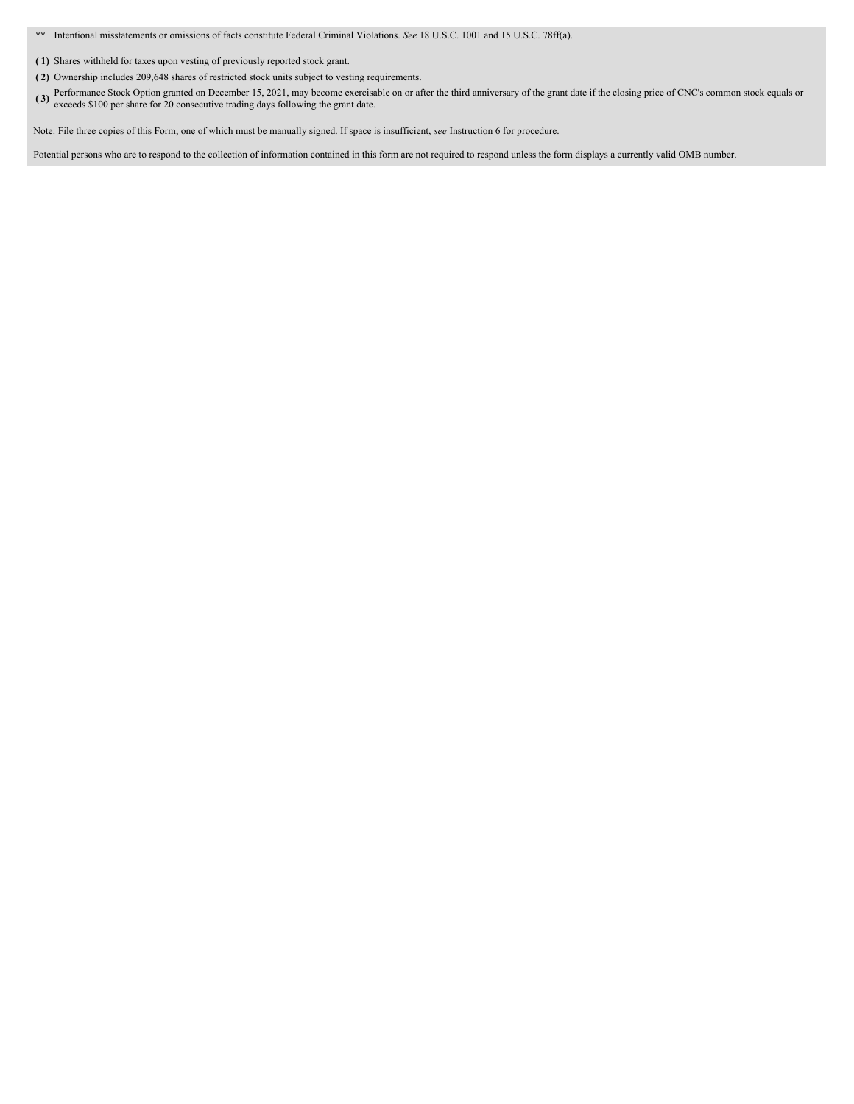**\*\*** Intentional misstatements or omissions of facts constitute Federal Criminal Violations. *See* 18 U.S.C. 1001 and 15 U.S.C. 78ff(a).

- **( 1)** Shares withheld for taxes upon vesting of previously reported stock grant.
- **( 2)** Ownership includes 209,648 shares of restricted stock units subject to vesting requirements.
- (3) Performance Stock Option granted on December 15, 2021, may become exercisable on or after the third anniversary of the grant date if the closing price of CNC's common stock equals or<br>  $(3)$  may also the find anniversar exceeds \$100 per share for 20 consecutive trading days following the grant date.

Note: File three copies of this Form, one of which must be manually signed. If space is insufficient, *see* Instruction 6 for procedure.

Potential persons who are to respond to the collection of information contained in this form are not required to respond unless the form displays a currently valid OMB number.